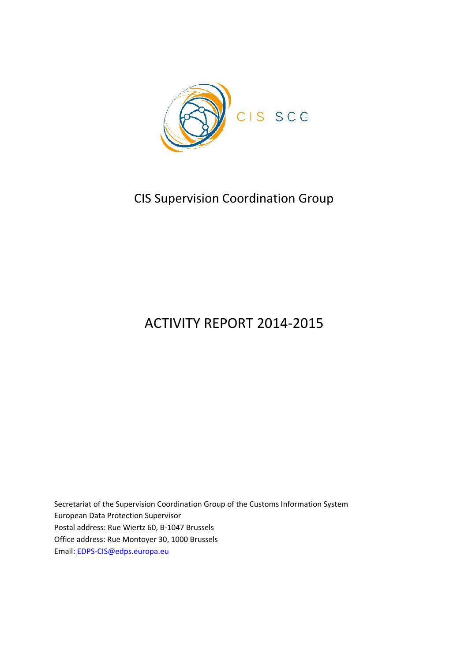

# CIS Supervision Coordination Group

# ACTIVITY REPORT 2014-2015

Secretariat of the Supervision Coordination Group of the Customs Information System European Data Protection Supervisor Postal address: Rue Wiertz 60, B-1047 Brussels Office address: Rue Montoyer 30, 1000 Brussels Email: EDPS-CIS@edps.europa.eu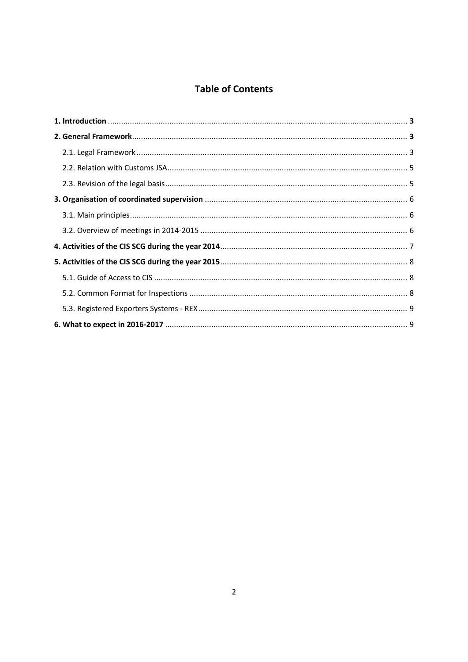# **Table of Contents**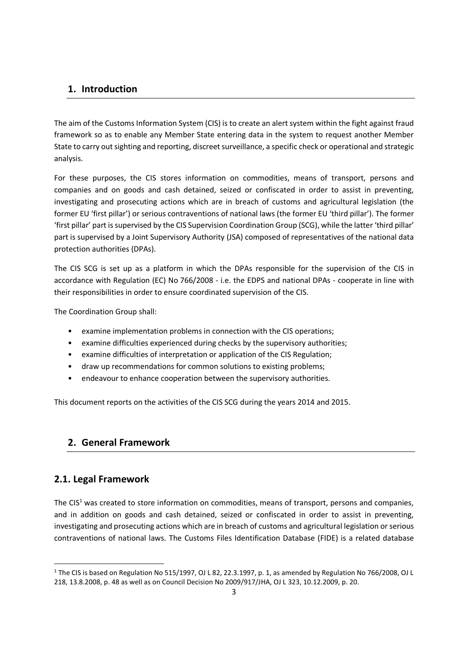# **1. Introduction**

The aim of the Customs Information System (CIS) is to create an alert system within the fight against fraud framework so as to enable any Member State entering data in the system to request another Member State to carry out sighting and reporting, discreet surveillance, a specific check or operational and strategic analysis.

For these purposes, the CIS stores information on commodities, means of transport, persons and companies and on goods and cash detained, seized or confiscated in order to assist in preventing, investigating and prosecuting actions which are in breach of customs and agricultural legislation (the former EU 'first pillar') or serious contraventions of national laws (the former EU 'third pillar'). The former 'first pillar' part is supervised by the CIS Supervision Coordination Group (SCG), while the latter 'third pillar' part is supervised by a Joint Supervisory Authority (JSA) composed of representatives of the national data protection authorities (DPAs).

The CIS SCG is set up as a platform in which the DPAs responsible for the supervision of the CIS in accordance with Regulation (EC) No 766/2008 - i.e. the EDPS and national DPAs -cooperate in line with their responsibilities in order to ensure coordinated supervision of the CIS.

The Coordination Group shall:

- examine implementation problems in connection with the CIS operations;
- examine difficulties experienced during checks by the supervisory authorities;
- examine difficulties of interpretation or application of the CIS Regulation;
- draw up recommendations for common solutions to existing problems;
- endeavour to enhance cooperation between the supervisory authorities.

This document reports on the activities of the CIS SCG during the years 2014 and 2015.

# **2. General Framework**

# **2.1. Legal Framework**

The  $CIS<sup>1</sup>$  was created to store information on commodities, means of transport, persons and companies, and in addition on goods and cash detained, seized or confiscated in order to assist in preventing, investigating and prosecuting actions which are in breach of customs and agricultural legislation or serious contraventions of national laws. The Customs Files Identification Database (FIDE) is a related database

<sup>&</sup>lt;sup>1</sup> The CIS is based on Regulation No 515/1997, OJ L 82, 22.3.1997, p. 1, as amended by Regulation No 766/2008, OJ L 218, 13.8.2008, p. 48 as well as on Council Decision No 2009/917/JHA, OJ L 323, 10.12.2009, p. 20.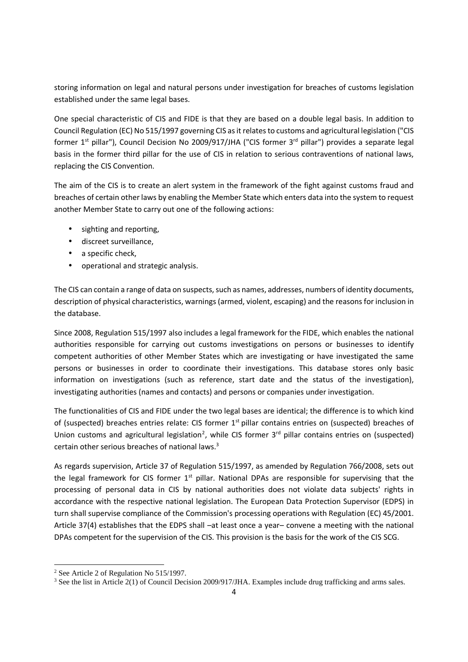storing information on legal and natural persons under investigation for breaches of customs legislation established under the same legal bases.

One special characteristic of CIS and FIDE is that they are based on a double legal basis. In addition to Council Regulation (EC) No 515/1997 governing CIS as it relates to customs and agricultural legislation ("CIS former 1<sup>st</sup> pillar"), Council Decision No 2009/917/JHA ("CIS former 3<sup>rd</sup> pillar") provides a separate legal basis in the former third pillar for the use of CIS in relation to serious contraventions of national laws, replacing the CIS Convention.

The aim of the CIS is to create an alert system in the framework of the fight against customs fraud and breaches of certain other laws by enabling the Member State which enters data into the system to request another Member State to carry out one of the following actions:

- sighting and reporting,
- discreet surveillance,
- a specific check,
- operational and strategic analysis.

The CIS can contain a range of data on suspects, such as names, addresses, numbers of identity documents, description of physical characteristics, warnings (armed, violent, escaping) and the reasons for inclusion in the database.

Since 2008, Regulation 515/1997 also includes a legal framework for the FIDE, which enables the national authorities responsible for carrying out customs investigations on persons or businesses to identify competent authorities of other Member States which are investigating or have investigated the same persons or businesses in order to coordinate their investigations. This database stores only basic information on investigations (such as reference, start date and the status of the investigation), investigating authorities (names and contacts) and persons or companies under investigation.

The functionalities of CIS and FIDE under the two legal bases are identical; the difference is to which kind of (suspected) breaches entries relate: CIS former 1<sup>st</sup> pillar contains entries on (suspected) breaches of Union customs and agricultural legislation<sup>2</sup>, while CIS former 3<sup>rd</sup> pillar contains entries on (suspected) certain other serious breaches of national laws.<sup>3</sup>

As regards supervision, Article 37 of Regulation 515/1997, as amended by Regulation 766/2008, sets out the legal framework for CIS former  $1<sup>st</sup>$  pillar. National DPAs are responsible for supervising that the processing of personal data in CIS by national authorities does not violate data subjects' rights in accordance with the respective national legislation. The European Data Protection Supervisor (EDPS) in turn shall supervise compliance of the Commission's processing operations with Regulation (EC) 45/2001. Article 37(4) establishes that the EDPS shall –at least once a year– convene a meeting with the national DPAs competent for the supervision of the CIS. This provision is the basis for the work of the CIS SCG.

<sup>2</sup> See Article 2 of Regulation No 515/1997.

<sup>&</sup>lt;sup>3</sup> See the list in Article 2(1) of Council Decision 2009/917/JHA. Examples include drug trafficking and arms sales.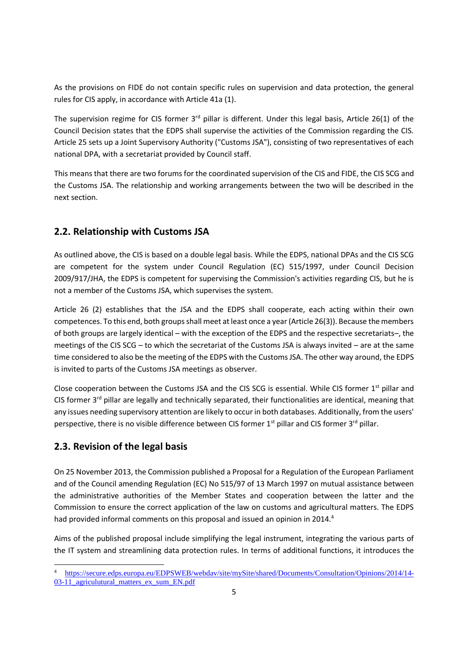As the provisions on FIDE do not contain specific rules on supervision and data protection, the general rules for CIS apply, in accordance with Article 41a (1).

The supervision regime for CIS former  $3<sup>rd</sup>$  pillar is different. Under this legal basis, Article 26(1) of the Council Decision states that the EDPS shall supervise the activities of the Commission regarding the CIS. Article 25 sets up a Joint Supervisory Authority ("Customs JSA"), consisting of two representatives of each national DPA, with a secretariat provided by Council staff.

This means that there are two forums for the coordinated supervision of the CIS and FIDE, the CIS SCG and the Customs JSA. The relationship and working arrangements between the two will be described in the next section.

# **2.2. Relationship with Customs JSA**

As outlined above, the CIS is based on a double legal basis. While the EDPS, national DPAs and the CIS SCG are competent for the system under Council Regulation (EC) 515/1997, under Council Decision 2009/917/JHA, the EDPS is competent for supervising the Commission's activities regarding CIS, but he is not a member of the Customs JSA, which supervises the system.

Article 26 (2) establishes that the JSA and the EDPS shall cooperate, each acting within their own competences. To this end, both groups shall meet at least once a year (Article 26(3)). Because the members of both groups are largely identical – with the exception of the EDPS and the respective secretariats–, the meetings of the CIS SCG – to which the secretariat of the Customs JSA is always invited – are at the same time considered to also be the meeting of the EDPS with the Customs JSA. The other way around, the EDPS is invited to parts of the Customs JSA meetings as observer.

Close cooperation between the Customs JSA and the CIS SCG is essential. While CIS former 1st pillar and CIS former  $3^{rd}$  pillar are legally and technically separated, their functionalities are identical, meaning that any issues needing supervisory attention are likely to occur in both databases. Additionally, from the users' perspective, there is no visible difference between CIS former 1<sup>st</sup> pillar and CIS former 3<sup>rd</sup> pillar.

# **2.3. Revision of the legal basis**

On 25 November 2013, the Commission published a Proposal for a Regulation of the European Parliament and of the Council amending Regulation (EC) No 515/97 of 13 March 1997 on mutual assistance between the administrative authorities of the Member States and cooperation between the latter and the Commission to ensure the correct application of the law on customs and agricultural matters. The EDPS had provided informal comments on this proposal and issued an opinion in 2014.<sup>4</sup>

Aims of the published proposal include simplifying the legal instrument, integrating the various parts of the IT system and streamlining data protection rules. In terms of additional functions, it introduces the

<sup>4</sup> https://secure.edps.europa.eu/EDPSWEB/webdav/site/mySite/shared/Documents/Consultation/Opinions/2014/14- 03-11 agriculutural matters ex sum EN.pdf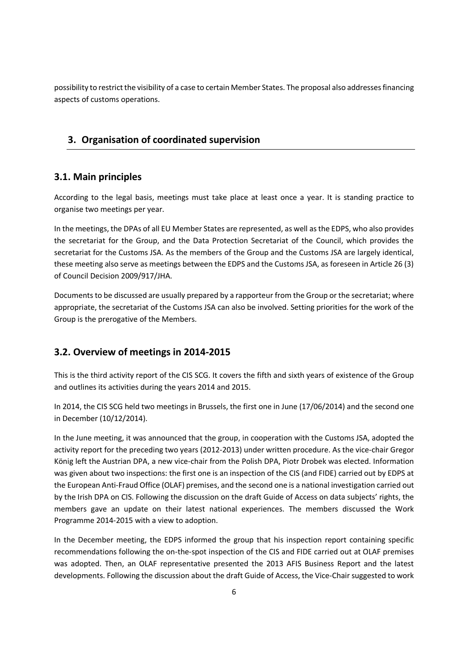possibility to restrict the visibility of a case to certain Member States. The proposal also addressesfinancing aspects of customs operations.

# **3. Organisation of coordinated supervision**

#### **3.1. Main principles**

According to the legal basis, meetings must take place at least once a year. It is standing practice to organise two meetings per year.

In the meetings, the DPAs of all EU Member States are represented, as well as the EDPS, who also provides the secretariat for the Group, and the Data Protection Secretariat of the Council, which provides the secretariat for the Customs JSA. As the members of the Group and the Customs JSA are largely identical, these meeting also serve as meetings between the EDPS and the Customs JSA, as foreseen in Article 26 (3) of Council Decision 2009/917/JHA.

Documents to be discussed are usually prepared by a rapporteur from the Group or the secretariat; where appropriate, the secretariat of the Customs JSA can also be involved. Setting priorities for the work of the Group is the prerogative of the Members.

# **3.2. Overview of meetings in 2014-2015**

This is the third activity report of the CIS SCG. It covers the fifth and sixth years of existence of the Group and outlines its activities during the years 2014 and 2015.

In 2014, the CIS SCG held two meetings in Brussels, the first one in June (17/06/2014) and the second one in December (10/12/2014).

In the June meeting, it was announced that the group, in cooperation with the Customs JSA, adopted the activity report for the preceding two years (2012-2013) under written procedure. As the vice-chair Gregor König left the Austrian DPA, a new vice-chair from the Polish DPA, Piotr Drobek was elected. Information was given about two inspections: the first one is an inspection of the CIS (and FIDE) carried out by EDPS at the European Anti-Fraud Office (OLAF) premises, and the second one is a national investigation carried out by the Irish DPA on CIS. Following the discussion on the draft Guide of Access on data subjects' rights, the members gave an update on their latest national experiences. The members discussed the Work Programme 2014-2015 with a view to adoption.

In the December meeting, the EDPS informed the group that his inspection report containing specific recommendations following the on-the-spot inspection of the CIS and FIDE carried out at OLAF premises was adopted. Then, an OLAF representative presented the 2013 AFIS Business Report and the latest developments. Following the discussion about the draft Guide of Access, the Vice-Chair suggested to work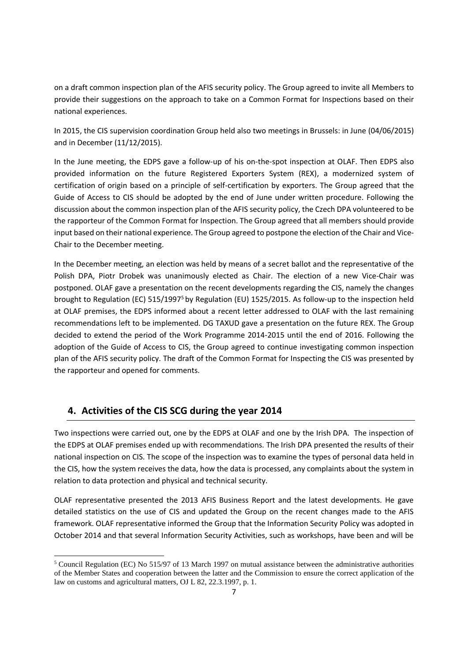on a draft common inspection plan of the AFIS security policy. The Group agreed to invite all Members to provide their suggestions on the approach to take on a Common Format for Inspections based on their national experiences.

In 2015, the CIS supervision coordination Group held also two meetings in Brussels: in June (04/06/2015) and in December (11/12/2015).

In the June meeting, the EDPS gave a follow-up of his on-the-spot inspection at OLAF. Then EDPS also provided information on the future Registered Exporters System (REX), a modernized system of certification of origin based on a principle of self-certification by exporters. The Group agreed that the Guide of Access to CIS should be adopted by the end of June under written procedure. Following the discussion about the common inspection plan of the AFIS security policy, the Czech DPA volunteered to be the rapporteur of the Common Format for Inspection. The Group agreed that all members should provide input based on their national experience. The Group agreed to postpone the election of the Chair and Vice- Chair to the December meeting.

In the December meeting, an election was held by means of a secret ballot and the representative of the Polish DPA, Piotr Drobek was unanimously elected as Chair. The election of a new Vice-Chair was postponed. OLAF gave a presentation on the recent developments regarding the CIS, namely the changes brought to Regulation (EC) 515/1997<sup>5</sup> by Regulation (EU) 1525/2015. As follow-up to the inspection held at OLAF premises, the EDPS informed about a recent letter addressed to OLAF with the last remaining recommendations left to be implemented. DG TAXUD gave a presentation on the future REX. The Group decided to extend the period of the Work Programme 2014-2015 until the end of 2016. Following the adoption of the Guide of Access to CIS, the Group agreed to continue investigating common inspection plan of the AFIS security policy. The draft of the Common Format for Inspecting the CIS was presented by the rapporteur and opened for comments.

# **4. Activities of the CIS SCG during the year 2014**

Two inspections were carried out, one by the EDPS at OLAF and one by the Irish DPA. The inspection of the EDPS at OLAF premises ended up with recommendations. The Irish DPA presented the results of their national inspection on CIS. The scope of the inspection was to examine the types of personal data held in the CIS, how the system receives the data, how the data is processed, any complaints about the system in relation to data protection and physical and technical security.

OLAF representative presented the 2013 AFIS Business Report and the latest developments. He gave detailed statistics on the use of CIS and updated the Group on the recent changes made to the AFIS framework. OLAF representative informed the Group that the Information Security Policy was adopted in October 2014 and that several Information Security Activities, such as workshops, have been and will be

<sup>5</sup> Council Regulation (EC) No 515/97 of 13 March 1997 on mutual assistance between the administrative authorities of the Member States and cooperation between the latter and the Commission to ensure the correct application of the law on customs and agricultural matters, OJ L 82, 22.3.1997, p. 1.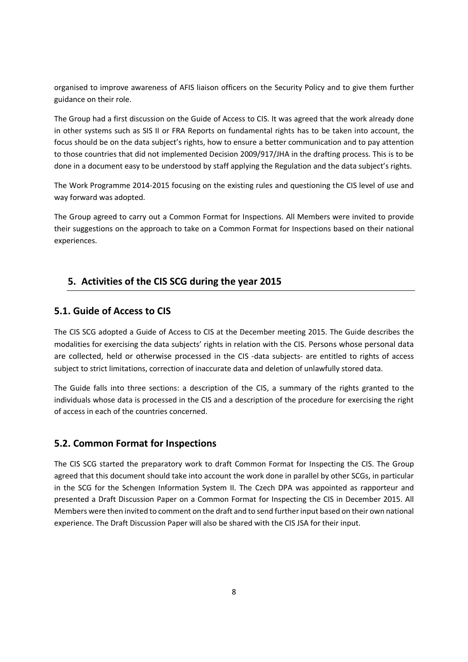organised to improve awareness of AFIS liaison officers on the Security Policy and to give them further guidance on their role.

The Group had a first discussion on the Guide of Access to CIS. It was agreed that the work already done in other systems such as SIS II or FRA Reports on fundamental rights has to be taken into account, the focus should be on the data subject's rights, how to ensure a better communication and to pay attention to those countries that did not implemented Decision 2009/917/JHA in the drafting process. This is to be done in a document easy to be understood by staff applying the Regulation and the data subject's rights.

The Work Programme 2014-2015 focusing on the existing rules and questioning the CIS level of use and way forward was adopted.

The Group agreed to carry out a Common Format for Inspections. All Members were invited to provide their suggestions on the approach to take on a Common Format for Inspections based on their national experiences.

# **5. Activities of the CIS SCG during the year 2015**

#### **5.1. Guide of Access to CIS**

The CIS SCG adopted a Guide of Access to CIS at the December meeting 2015. The Guide describes the modalities for exercising the data subjects' rights in relation with the CIS. Persons whose personal data are collected, held or otherwise processed in the CIS -data subjects- are entitled to rights of access subject to strict limitations, correction of inaccurate data and deletion of unlawfully stored data.

The Guide falls into three sections: a description of the CIS, a summary of the rights granted to the individuals whose data is processed in the CIS and a description of the procedure for exercising the right of access in each of the countries concerned.

#### **5.2. Common Format for Inspections**

The CIS SCG started the preparatory work to draft Common Format for Inspecting the CIS. The Group agreed that this document should take into account the work done in parallel by other SCGs, in particular in the SCG for the Schengen Information System II. The Czech DPA was appointed as rapporteur and presented a Draft Discussion Paper on a Common Format for Inspecting the CIS in December 2015. All Members were then invited to comment on the draft and to send further input based on their own national experience. The Draft Discussion Paper will also be shared with the CIS JSA for their input.